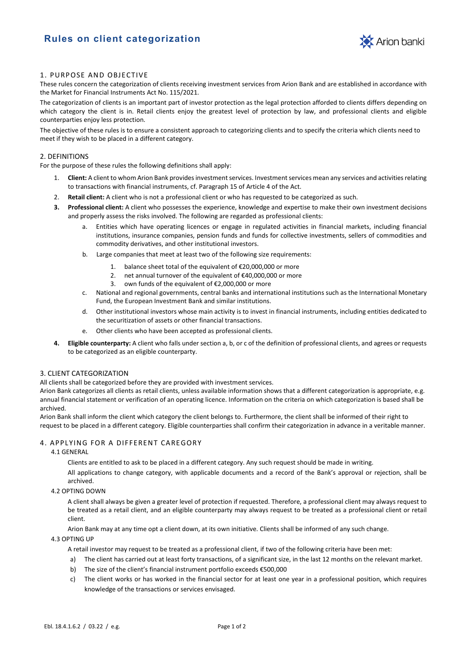

# 1. PURPOSE AND OBJECTIVE

These rules concern the categorization of clients receiving investment services from Arion Bank and are established in accordance with the Market for Financial Instruments Act No. 115/2021.

The categorization of clients is an important part of investor protection as the legal protection afforded to clients differs depending on which category the client is in. Retail clients enjoy the greatest level of protection by law, and professional clients and eligible counterparties enjoy less protection.

The objective of these rules is to ensure a consistent approach to categorizing clients and to specify the criteria which clients need to meet if they wish to be placed in a different category.

#### 2. DEFINITIONS

For the purpose of these rules the following definitions shall apply:

- 1. **Client:** A client to whom Arion Bank provides investment services. Investment services mean any services and activities relating to transactions with financial instruments, cf. Paragraph 15 of Article 4 of the Act.
- 2. **Retail client:** A client who is not a professional client or who has requested to be categorized as such.
- **3. Professional client:** A client who possesses the experience, knowledge and expertise to make their own investment decisions and properly assess the risks involved. The following are regarded as professional clients:
	- a. Entities which have operating licences or engage in regulated activities in financial markets, including financial institutions, insurance companies, pension funds and funds for collective investments, sellers of commodities and commodity derivatives, and other institutional investors.
	- b. Large companies that meet at least two of the following size requirements:
		- 1. balance sheet total of the equivalent of €20,000,000 or more
		- 2. net annual turnover of the equivalent of €40,000,000 or more
		- 3. own funds of the equivalent of €2,000,000 or more
	- c. National and regional governments, central banks and international institutions such as the International Monetary Fund, the European Investment Bank and similar institutions.
	- d. Other institutional investors whose main activity is to invest in financial instruments, including entities dedicated to the securitization of assets or other financial transactions.
	- e. Other clients who have been accepted as professional clients.
- **4. Eligible counterparty:** A client who falls under section a, b, or c of the definition of professional clients, and agrees or requests to be categorized as an eligible counterparty.

## 3. CLIENT CATEGORIZATION

All clients shall be categorized before they are provided with investment services.

Arion Bank categorizes all clients as retail clients, unless available information shows that a different categorization is appropriate, e.g. annual financial statement or verification of an operating licence. Information on the criteria on which categorization is based shall be archived.

Arion Bank shall inform the client which category the client belongs to. Furthermore, the client shall be informed of their right to request to be placed in a different category. Eligible counterparties shall confirm their categorization in advance in a veritable manner.

# 4. APPLYING FOR A DIFFERENT CAREGORY

### 4.1 GENERAL

Clients are entitled to ask to be placed in a different category. Any such request should be made in writing.

All applications to change category, with applicable documents and a record of the Bank's approval or rejection, shall be archived.

## 4.2 OPTING DOWN

A client shall always be given a greater level of protection if requested. Therefore, a professional client may always request to be treated as a retail client, and an eligible counterparty may always request to be treated as a professional client or retail client.

Arion Bank may at any time opt a client down, at its own initiative. Clients shall be informed of any such change.

#### 4.3 OPTING UP

A retail investor may request to be treated as a professional client, if two of the following criteria have been met:

- a) The client has carried out at least forty transactions, of a significant size, in the last 12 months on the relevant market.
- b) The size of the client's financial instrument portfolio exceeds €500,000
- c) The client works or has worked in the financial sector for at least one year in a professional position, which requires knowledge of the transactions or services envisaged.